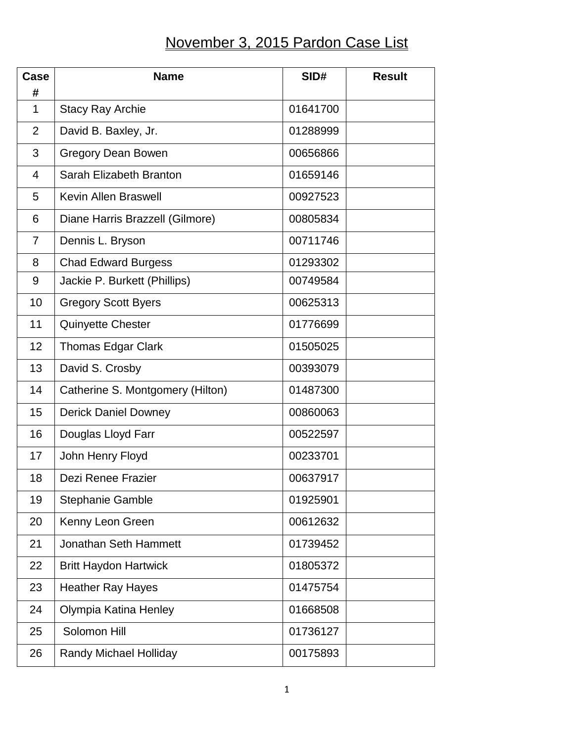## November 3, 2015 Pardon Case List

| <b>Case</b><br># | <b>Name</b>                      | SID#     | <b>Result</b> |
|------------------|----------------------------------|----------|---------------|
| $\mathbf{1}$     | <b>Stacy Ray Archie</b>          | 01641700 |               |
| $\overline{2}$   | David B. Baxley, Jr.             | 01288999 |               |
| 3                | <b>Gregory Dean Bowen</b>        | 00656866 |               |
| $\overline{4}$   | Sarah Elizabeth Branton          | 01659146 |               |
| 5                | <b>Kevin Allen Braswell</b>      | 00927523 |               |
| 6                | Diane Harris Brazzell (Gilmore)  | 00805834 |               |
| $\overline{7}$   | Dennis L. Bryson                 | 00711746 |               |
| 8                | <b>Chad Edward Burgess</b>       | 01293302 |               |
| 9                | Jackie P. Burkett (Phillips)     | 00749584 |               |
| 10               | <b>Gregory Scott Byers</b>       | 00625313 |               |
| 11               | <b>Quinyette Chester</b>         | 01776699 |               |
| 12               | <b>Thomas Edgar Clark</b>        | 01505025 |               |
| 13               | David S. Crosby                  | 00393079 |               |
| 14               | Catherine S. Montgomery (Hilton) | 01487300 |               |
| 15               | <b>Derick Daniel Downey</b>      | 00860063 |               |
| 16               | Douglas Lloyd Farr               | 00522597 |               |
| 17               | John Henry Floyd                 | 00233701 |               |
| 18               | Dezi Renee Frazier               | 00637917 |               |
| 19               | <b>Stephanie Gamble</b>          | 01925901 |               |
| 20               | Kenny Leon Green                 | 00612632 |               |
| 21               | <b>Jonathan Seth Hammett</b>     | 01739452 |               |
| 22               | <b>Britt Haydon Hartwick</b>     | 01805372 |               |
| 23               | <b>Heather Ray Hayes</b>         | 01475754 |               |
| 24               | Olympia Katina Henley            | 01668508 |               |
| 25               | Solomon Hill                     | 01736127 |               |
| 26               | <b>Randy Michael Holliday</b>    | 00175893 |               |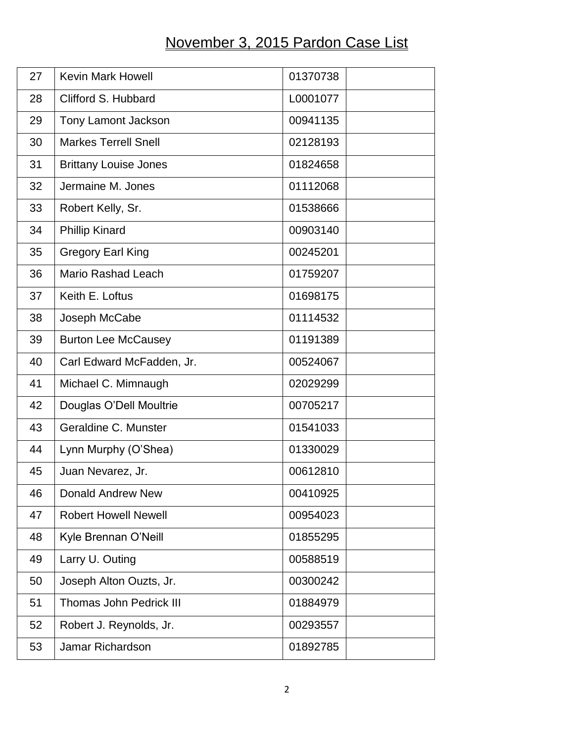## November 3, 2015 Pardon Case List

| 27 | <b>Kevin Mark Howell</b>       | 01370738 |
|----|--------------------------------|----------|
| 28 | Clifford S. Hubbard            | L0001077 |
| 29 | <b>Tony Lamont Jackson</b>     | 00941135 |
| 30 | <b>Markes Terrell Snell</b>    | 02128193 |
| 31 | <b>Brittany Louise Jones</b>   | 01824658 |
| 32 | Jermaine M. Jones              | 01112068 |
| 33 | Robert Kelly, Sr.              | 01538666 |
| 34 | <b>Phillip Kinard</b>          | 00903140 |
| 35 | <b>Gregory Earl King</b>       | 00245201 |
| 36 | <b>Mario Rashad Leach</b>      | 01759207 |
| 37 | Keith E. Loftus                | 01698175 |
| 38 | Joseph McCabe                  | 01114532 |
| 39 | <b>Burton Lee McCausey</b>     | 01191389 |
| 40 | Carl Edward McFadden, Jr.      | 00524067 |
| 41 | Michael C. Mimnaugh            | 02029299 |
| 42 | Douglas O'Dell Moultrie        | 00705217 |
| 43 | Geraldine C. Munster           | 01541033 |
| 44 | Lynn Murphy (O'Shea)           | 01330029 |
| 45 | Juan Nevarez, Jr.              | 00612810 |
| 46 | <b>Donald Andrew New</b>       | 00410925 |
| 47 | <b>Robert Howell Newell</b>    | 00954023 |
| 48 | Kyle Brennan O'Neill           | 01855295 |
| 49 | Larry U. Outing                | 00588519 |
| 50 | Joseph Alton Ouzts, Jr.        | 00300242 |
| 51 | <b>Thomas John Pedrick III</b> | 01884979 |
| 52 | Robert J. Reynolds, Jr.        | 00293557 |
| 53 | Jamar Richardson               | 01892785 |